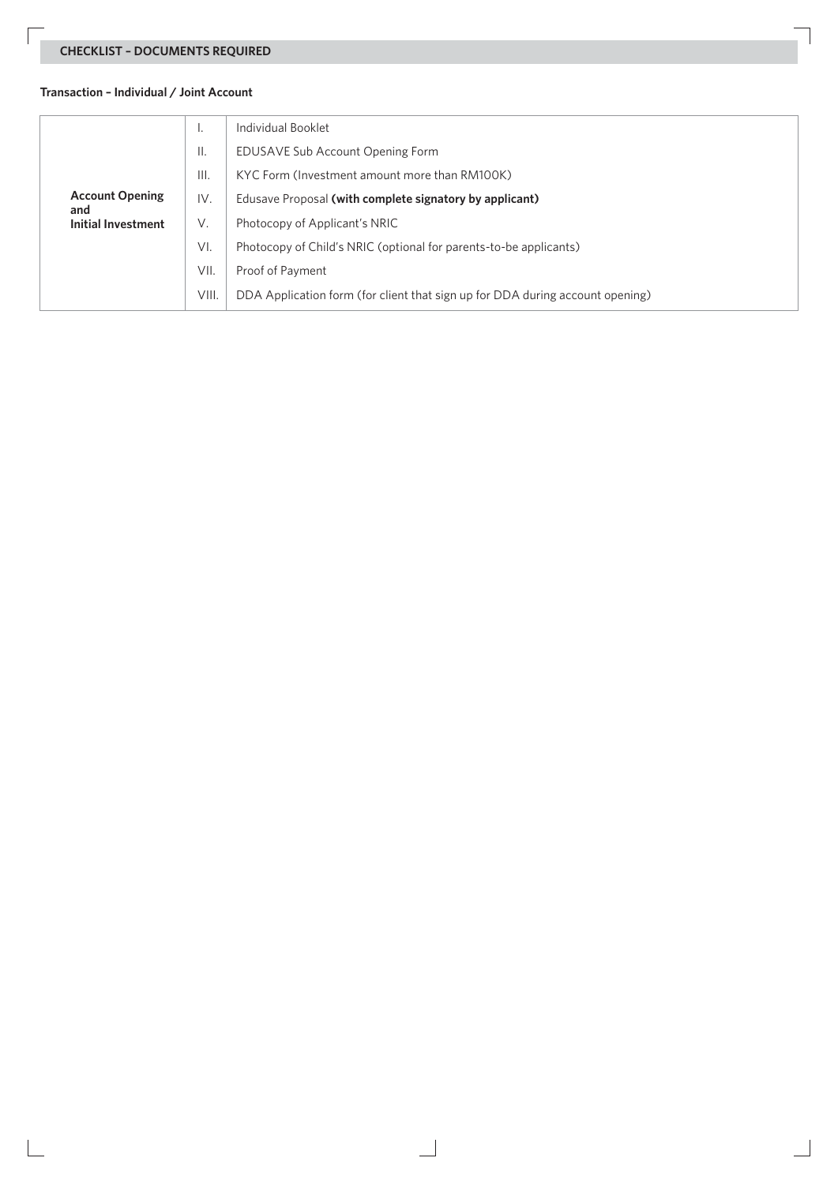## **CHECKLIST – DOCUMENTS REQUIRED**

## **Transaction – Individual / Joint Account**

| <b>Account Opening</b><br>and<br><b>Initial Investment</b> | ٠.    | Individual Booklet                                                            |  |  |  |
|------------------------------------------------------------|-------|-------------------------------------------------------------------------------|--|--|--|
|                                                            | ΙΙ.   | EDUSAVE Sub Account Opening Form                                              |  |  |  |
|                                                            | III.  | KYC Form (Investment amount more than RM100K)                                 |  |  |  |
|                                                            | IV.   | Edusave Proposal (with complete signatory by applicant)                       |  |  |  |
|                                                            | V.    | Photocopy of Applicant's NRIC                                                 |  |  |  |
|                                                            | VI.   | Photocopy of Child's NRIC (optional for parents-to-be applicants)             |  |  |  |
|                                                            | VII.  | Proof of Payment                                                              |  |  |  |
|                                                            | VIII. | DDA Application form (for client that sign up for DDA during account opening) |  |  |  |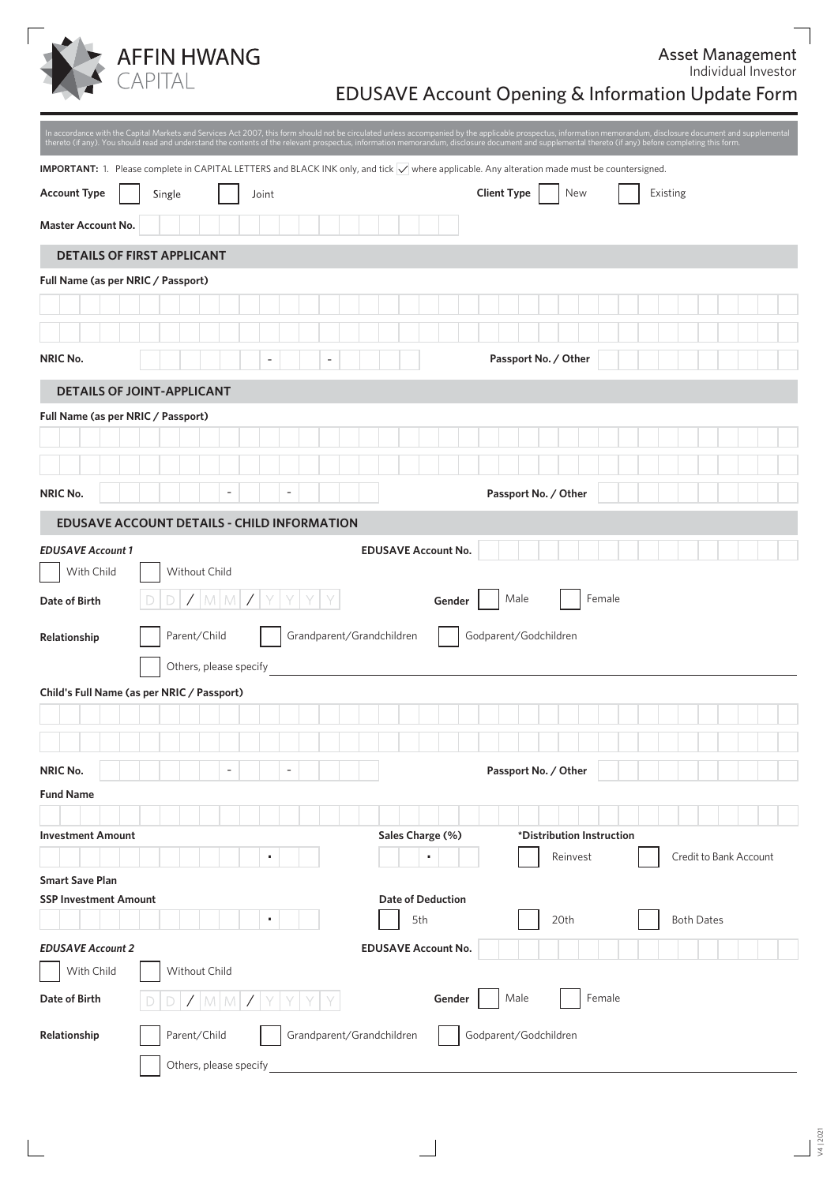

## EDUSAVE Account Opening & Information Update Form

|                                    | thereto (if any). You should read and understand the contents of the relevant prospectus, information memorandum, disclosure document and supplemental thereto (if any) before completing this form. |                           |                                    |                                       | In accordance with the Capital Markets and Services Act 2007, this form should not be circulated unless accompanied by the applicable prospectus, information memorandum, disclosure document and supplemental |  |
|------------------------------------|------------------------------------------------------------------------------------------------------------------------------------------------------------------------------------------------------|---------------------------|------------------------------------|---------------------------------------|----------------------------------------------------------------------------------------------------------------------------------------------------------------------------------------------------------------|--|
|                                    | <b>IMPORTANT:</b> 1. Please complete in CAPITAL LETTERS and BLACK INK only, and tick V where applicable. Any alteration made must be countersigned.                                                  |                           |                                    |                                       |                                                                                                                                                                                                                |  |
| <b>Account Type</b>                | Single<br>Joint                                                                                                                                                                                      |                           |                                    | <b>Client Type</b><br><b>New</b>      | Existing                                                                                                                                                                                                       |  |
| <b>Master Account No.</b>          |                                                                                                                                                                                                      |                           |                                    |                                       |                                                                                                                                                                                                                |  |
|                                    | <b>DETAILS OF FIRST APPLICANT</b>                                                                                                                                                                    |                           |                                    |                                       |                                                                                                                                                                                                                |  |
| Full Name (as per NRIC / Passport) |                                                                                                                                                                                                      |                           |                                    |                                       |                                                                                                                                                                                                                |  |
|                                    |                                                                                                                                                                                                      |                           |                                    |                                       |                                                                                                                                                                                                                |  |
|                                    |                                                                                                                                                                                                      |                           |                                    |                                       |                                                                                                                                                                                                                |  |
| NRIC No.                           |                                                                                                                                                                                                      | L,                        |                                    | Passport No. / Other                  |                                                                                                                                                                                                                |  |
|                                    | <b>DETAILS OF JOINT-APPLICANT</b>                                                                                                                                                                    |                           |                                    |                                       |                                                                                                                                                                                                                |  |
| Full Name (as per NRIC / Passport) |                                                                                                                                                                                                      |                           |                                    |                                       |                                                                                                                                                                                                                |  |
|                                    |                                                                                                                                                                                                      |                           |                                    |                                       |                                                                                                                                                                                                                |  |
|                                    |                                                                                                                                                                                                      |                           |                                    |                                       |                                                                                                                                                                                                                |  |
| <b>NRIC No.</b>                    |                                                                                                                                                                                                      |                           |                                    | Passport No. / Other                  |                                                                                                                                                                                                                |  |
|                                    | <b>EDUSAVE ACCOUNT DETAILS - CHILD INFORMATION</b>                                                                                                                                                   |                           |                                    |                                       |                                                                                                                                                                                                                |  |
| <b>EDUSAVE Account 1</b>           |                                                                                                                                                                                                      |                           | <b>EDUSAVE Account No.</b>         |                                       |                                                                                                                                                                                                                |  |
| With Child                         | Without Child                                                                                                                                                                                        |                           |                                    |                                       |                                                                                                                                                                                                                |  |
| Date of Birth                      | D<br>$\sqrt{2}$<br>M<br>M                                                                                                                                                                            |                           | Gender                             | Male<br>Female                        |                                                                                                                                                                                                                |  |
| Relationship                       | Parent/Child                                                                                                                                                                                         | Grandparent/Grandchildren |                                    | Godparent/Godchildren                 |                                                                                                                                                                                                                |  |
|                                    | Others, please specify                                                                                                                                                                               |                           |                                    |                                       |                                                                                                                                                                                                                |  |
|                                    | Child's Full Name (as per NRIC / Passport)                                                                                                                                                           |                           |                                    |                                       |                                                                                                                                                                                                                |  |
|                                    |                                                                                                                                                                                                      |                           |                                    |                                       |                                                                                                                                                                                                                |  |
|                                    |                                                                                                                                                                                                      |                           |                                    |                                       |                                                                                                                                                                                                                |  |
| NRIC No.                           | $\overline{\phantom{a}}$                                                                                                                                                                             | $\overline{a}$            |                                    | Passport No. / Other                  |                                                                                                                                                                                                                |  |
| <b>Fund Name</b>                   |                                                                                                                                                                                                      |                           |                                    |                                       |                                                                                                                                                                                                                |  |
|                                    |                                                                                                                                                                                                      |                           |                                    |                                       |                                                                                                                                                                                                                |  |
| <b>Investment Amount</b>           |                                                                                                                                                                                                      |                           | Sales Charge (%)<br>$\blacksquare$ | *Distribution Instruction<br>Reinvest | Credit to Bank Account                                                                                                                                                                                         |  |
| <b>Smart Save Plan</b>             |                                                                                                                                                                                                      |                           |                                    |                                       |                                                                                                                                                                                                                |  |
| <b>SSP Investment Amount</b>       |                                                                                                                                                                                                      |                           | <b>Date of Deduction</b>           |                                       |                                                                                                                                                                                                                |  |
|                                    |                                                                                                                                                                                                      |                           | 5th                                | 20th                                  | <b>Both Dates</b>                                                                                                                                                                                              |  |
| <b>EDUSAVE Account 2</b>           |                                                                                                                                                                                                      |                           | <b>EDUSAVE Account No.</b>         |                                       |                                                                                                                                                                                                                |  |
| With Child                         | Without Child                                                                                                                                                                                        |                           |                                    |                                       |                                                                                                                                                                                                                |  |
| Date of Birth                      | $M$ $M$                                                                                                                                                                                              |                           | Gender                             | Female<br>Male                        |                                                                                                                                                                                                                |  |
| Relationship                       | Parent/Child                                                                                                                                                                                         | Grandparent/Grandchildren |                                    | Godparent/Godchildren                 |                                                                                                                                                                                                                |  |
|                                    | Others, please specify                                                                                                                                                                               |                           |                                    |                                       |                                                                                                                                                                                                                |  |